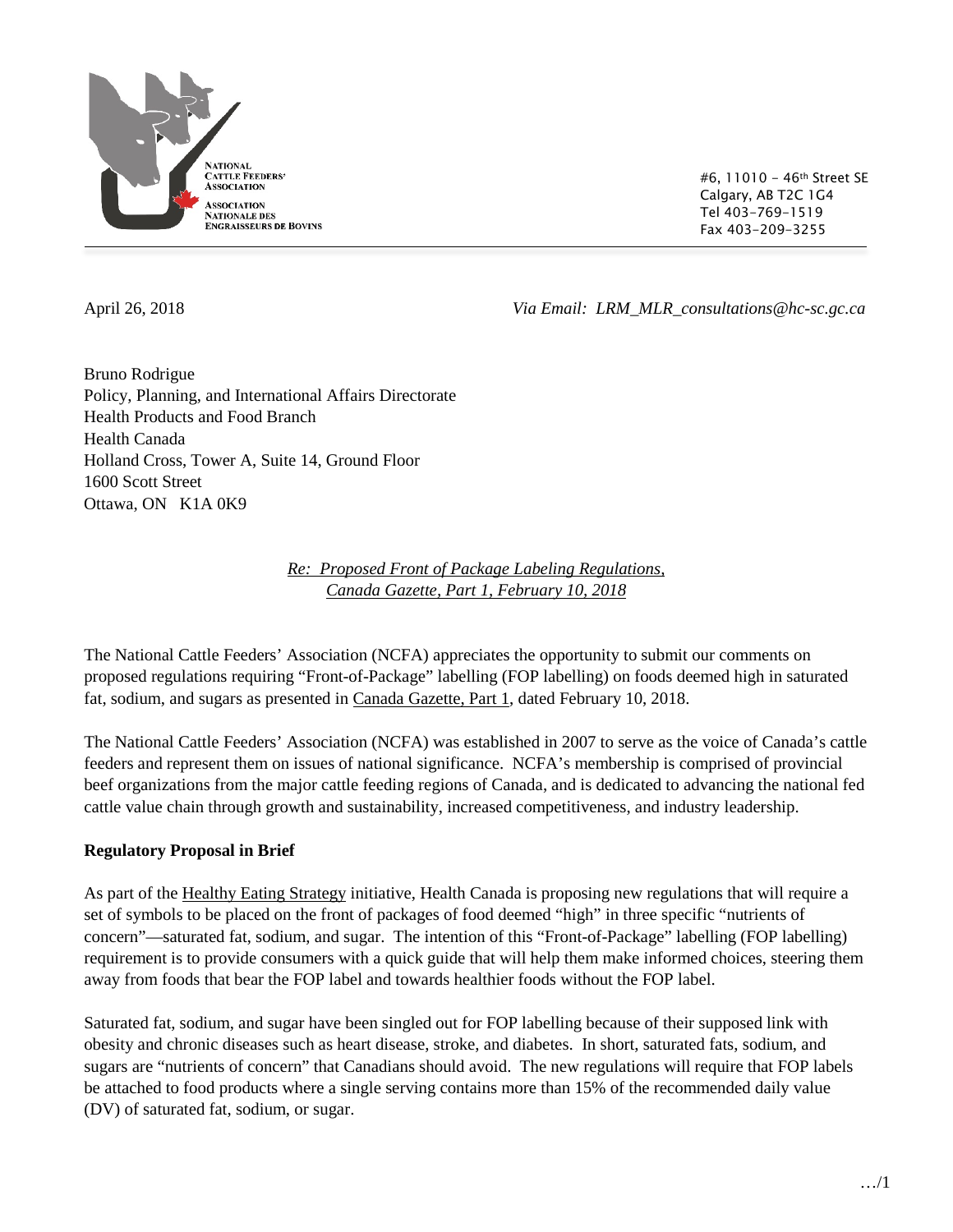

#6, 11010 - 46th Street SE Calgary, AB T2C 1G4 Tel 403-769-1519 Fax 403-209-3255

April 26, 2018 *Via Email: LRM\_MLR\_consultations@hc-sc.gc.ca*

Bruno Rodrigue Policy, Planning, and International Affairs Directorate Health Products and Food Branch Health Canada Holland Cross, Tower A, Suite 14, Ground Floor 1600 Scott Street Ottawa, ON K1A 0K9

> *Re: Proposed Front of Package Labeling Regulations, Canada Gazette, Part 1, February 10, 2018*

The National Cattle Feeders' Association (NCFA) appreciates the opportunity to submit our comments on proposed regulations requiring "Front-of-Package" labelling (FOP labelling) on foods deemed high in saturated fat, sodium, and sugars as presented in Canada Gazette, Part 1, dated February 10, 2018.

The National Cattle Feeders' Association (NCFA) was established in 2007 to serve as the voice of Canada's cattle feeders and represent them on issues of national significance. NCFA's membership is comprised of provincial beef organizations from the major cattle feeding regions of Canada, and is dedicated to advancing the national fed cattle value chain through growth and sustainability, increased competitiveness, and industry leadership.

# **Regulatory Proposal in Brief**

As part of the Healthy Eating Strategy initiative, Health Canada is proposing new regulations that will require a set of symbols to be placed on the front of packages of food deemed "high" in three specific "nutrients of concern"—saturated fat, sodium, and sugar. The intention of this "Front-of-Package" labelling (FOP labelling) requirement is to provide consumers with a quick guide that will help them make informed choices, steering them away from foods that bear the FOP label and towards healthier foods without the FOP label.

Saturated fat, sodium, and sugar have been singled out for FOP labelling because of their supposed link with obesity and chronic diseases such as heart disease, stroke, and diabetes. In short, saturated fats, sodium, and sugars are "nutrients of concern" that Canadians should avoid. The new regulations will require that FOP labels be attached to food products where a single serving contains more than 15% of the recommended daily value (DV) of saturated fat, sodium, or sugar.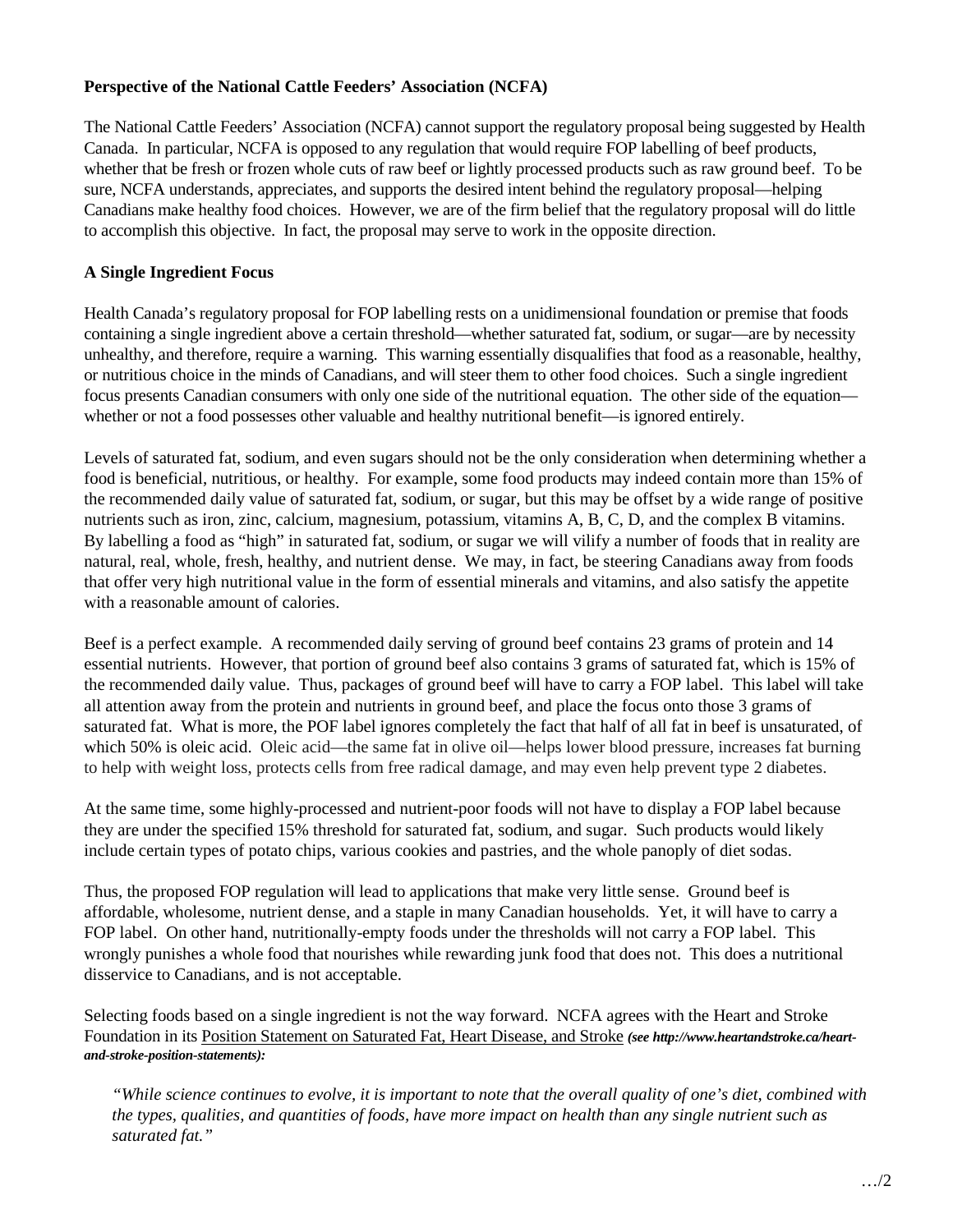### **Perspective of the National Cattle Feeders' Association (NCFA)**

The National Cattle Feeders' Association (NCFA) cannot support the regulatory proposal being suggested by Health Canada. In particular, NCFA is opposed to any regulation that would require FOP labelling of beef products, whether that be fresh or frozen whole cuts of raw beef or lightly processed products such as raw ground beef. To be sure, NCFA understands, appreciates, and supports the desired intent behind the regulatory proposal—helping Canadians make healthy food choices. However, we are of the firm belief that the regulatory proposal will do little to accomplish this objective. In fact, the proposal may serve to work in the opposite direction.

#### **A Single Ingredient Focus**

Health Canada's regulatory proposal for FOP labelling rests on a unidimensional foundation or premise that foods containing a single ingredient above a certain threshold—whether saturated fat, sodium, or sugar—are by necessity unhealthy, and therefore, require a warning. This warning essentially disqualifies that food as a reasonable, healthy, or nutritious choice in the minds of Canadians, and will steer them to other food choices. Such a single ingredient focus presents Canadian consumers with only one side of the nutritional equation. The other side of the equation whether or not a food possesses other valuable and healthy nutritional benefit—is ignored entirely.

Levels of saturated fat, sodium, and even sugars should not be the only consideration when determining whether a food is beneficial, nutritious, or healthy. For example, some food products may indeed contain more than 15% of the recommended daily value of saturated fat, sodium, or sugar, but this may be offset by a wide range of positive nutrients such as iron, zinc, calcium, magnesium, potassium, vitamins A, B, C, D, and the complex B vitamins. By labelling a food as "high" in saturated fat, sodium, or sugar we will vilify a number of foods that in reality are natural, real, whole, fresh, healthy, and nutrient dense. We may, in fact, be steering Canadians away from foods that offer very high nutritional value in the form of essential minerals and vitamins, and also satisfy the appetite with a reasonable amount of calories.

Beef is a perfect example. A recommended daily serving of ground beef contains 23 grams of protein and 14 essential nutrients. However, that portion of ground beef also contains 3 grams of saturated fat, which is 15% of the recommended daily value. Thus, packages of ground beef will have to carry a FOP label. This label will take all attention away from the protein and nutrients in ground beef, and place the focus onto those 3 grams of saturated fat. What is more, the POF label ignores completely the fact that half of all fat in beef is unsaturated, of which 50% is oleic acid. Oleic acid—the same fat in olive oil—helps lower blood pressure, increases fat burning to help with weight loss, protects cells from free radical damage, and may even help prevent type 2 diabetes.

At the same time, some highly-processed and nutrient-poor foods will not have to display a FOP label because they are under the specified 15% threshold for saturated fat, sodium, and sugar. Such products would likely include certain types of potato chips, various cookies and pastries, and the whole panoply of diet sodas.

Thus, the proposed FOP regulation will lead to applications that make very little sense. Ground beef is affordable, wholesome, nutrient dense, and a staple in many Canadian households. Yet, it will have to carry a FOP label. On other hand, nutritionally-empty foods under the thresholds will not carry a FOP label. This wrongly punishes a whole food that nourishes while rewarding junk food that does not. This does a nutritional disservice to Canadians, and is not acceptable.

Selecting foods based on a single ingredient is not the way forward. NCFA agrees with the Heart and Stroke Foundation in its Position Statement on Saturated Fat, Heart Disease, and Stroke *(see http://www.heartandstroke.ca/heartand-stroke-position-statements):*

*"While science continues to evolve, it is important to note that the overall quality of one's diet, combined with the types, qualities, and quantities of foods, have more impact on health than any single nutrient such as saturated fat."*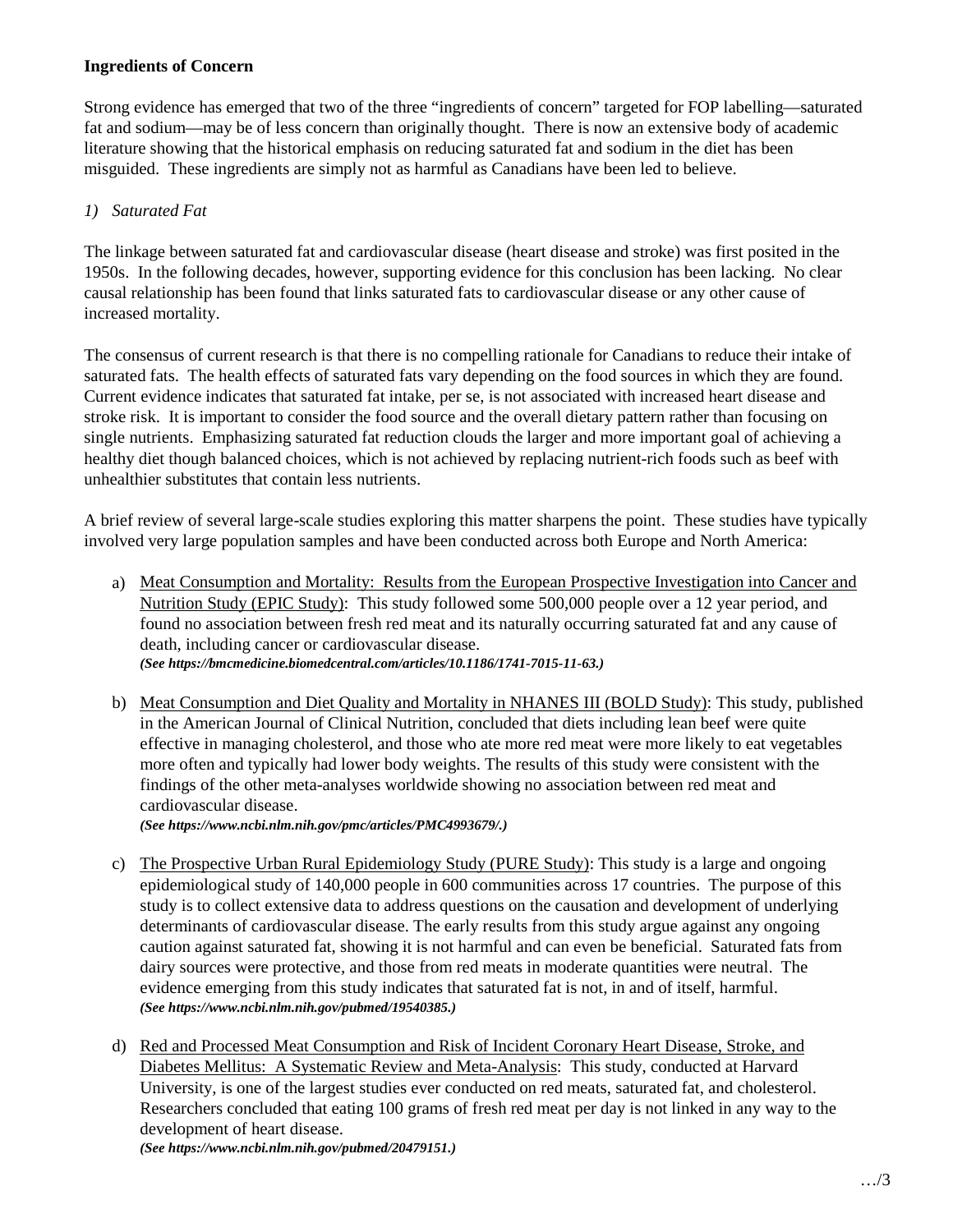### **Ingredients of Concern**

Strong evidence has emerged that two of the three "ingredients of concern" targeted for FOP labelling—saturated fat and sodium—may be of less concern than originally thought. There is now an extensive body of academic literature showing that the historical emphasis on reducing saturated fat and sodium in the diet has been misguided. These ingredients are simply not as harmful as Canadians have been led to believe.

# *1) Saturated Fat*

The linkage between saturated fat and cardiovascular disease (heart disease and stroke) was first posited in the 1950s. In the following decades, however, supporting evidence for this conclusion has been lacking. No clear causal relationship has been found that links saturated fats to cardiovascular disease or any other cause of increased mortality.

The consensus of current research is that there is no compelling rationale for Canadians to reduce their intake of saturated fats. The health effects of saturated fats vary depending on the food sources in which they are found. Current evidence indicates that saturated fat intake, per se, is not associated with increased heart disease and stroke risk. It is important to consider the food source and the overall dietary pattern rather than focusing on single nutrients. Emphasizing saturated fat reduction clouds the larger and more important goal of achieving a healthy diet though balanced choices, which is not achieved by replacing nutrient-rich foods such as beef with unhealthier substitutes that contain less nutrients.

A brief review of several large-scale studies exploring this matter sharpens the point. These studies have typically involved very large population samples and have been conducted across both Europe and North America:

- a) Meat Consumption and Mortality: Results from the European Prospective Investigation into Cancer and Nutrition Study (EPIC Study): This study followed some 500,000 people over a 12 year period, and found no association between fresh red meat and its naturally occurring saturated fat and any cause of death, including cancer or cardiovascular disease. *(See https://bmcmedicine.biomedcentral.com/articles/10.1186/1741-7015-11-63.)*
- b) Meat Consumption and Diet Quality and Mortality in NHANES III (BOLD Study): This study, published in the American Journal of Clinical Nutrition, concluded that diets including lean beef were quite effective in managing cholesterol, and those who ate more red meat were more likely to eat vegetables more often and typically had lower body weights. The results of this study were consistent with the findings of the other meta-analyses worldwide showing no association between red meat and cardiovascular disease.

*(See https://www.ncbi.nlm.nih.gov/pmc/articles/PMC4993679/.)*

- c) The Prospective Urban Rural Epidemiology Study (PURE Study): This study is a large and ongoing epidemiological study of 140,000 people in 600 communities across 17 countries. The purpose of this study is to collect extensive data to address questions on the causation and development of underlying determinants of cardiovascular disease. The early results from this study argue against any ongoing caution against saturated fat, showing it is not harmful and can even be beneficial. Saturated fats from dairy sources were protective, and those from red meats in moderate quantities were neutral. The evidence emerging from this study indicates that saturated fat is not, in and of itself, harmful. *(See https://www.ncbi.nlm.nih.gov/pubmed/19540385.)*
- d) Red and Processed Meat Consumption and Risk of Incident Coronary Heart Disease, Stroke, and Diabetes Mellitus: A Systematic Review and Meta-Analysis: This study, conducted at Harvard University, is one of the largest studies ever conducted on red meats, saturated fat, and cholesterol. Researchers concluded that eating 100 grams of fresh red meat per day is not linked in any way to the development of heart disease.

*(See https://www.ncbi.nlm.nih.gov/pubmed/20479151.)*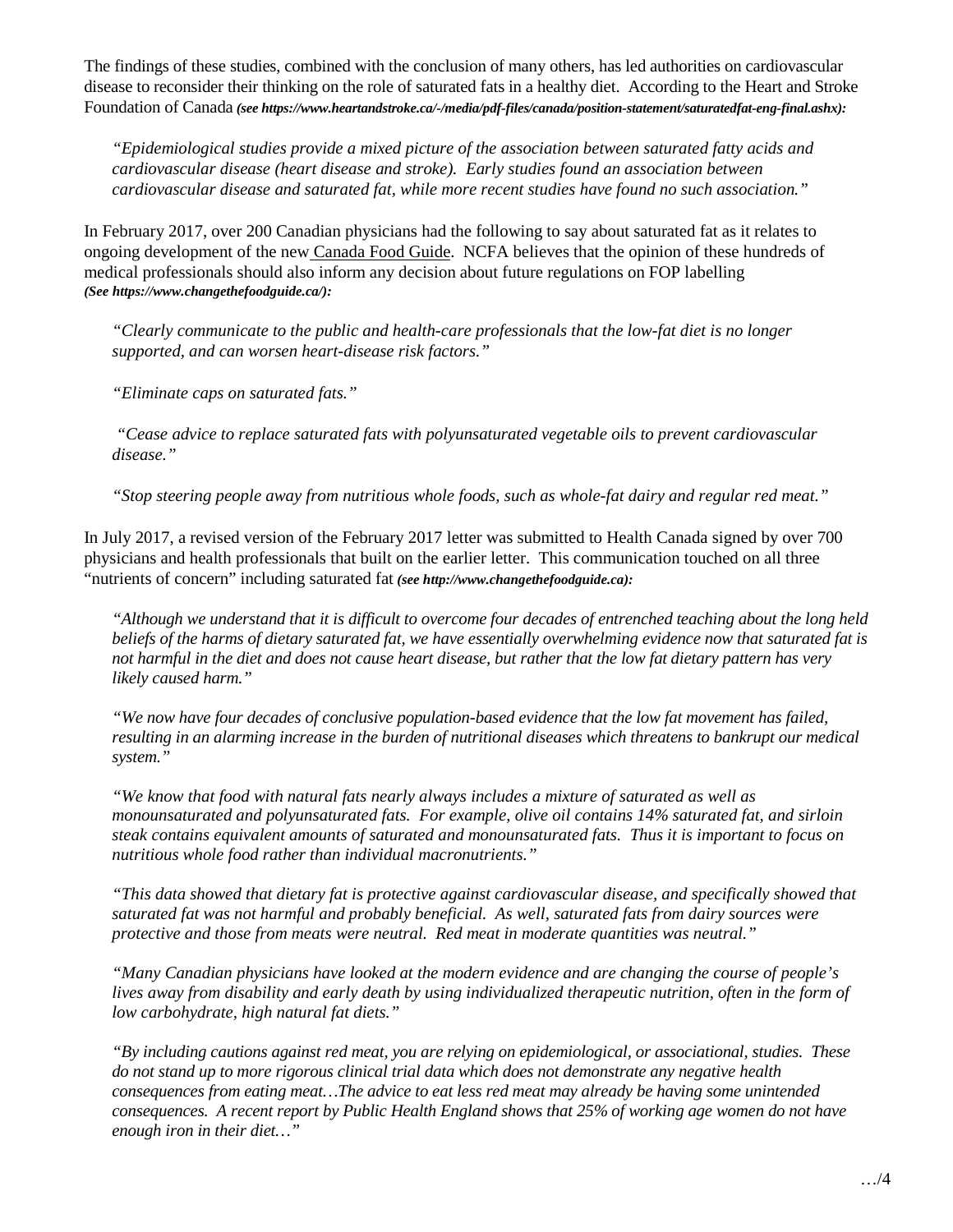The findings of these studies, combined with the conclusion of many others, has led authorities on cardiovascular disease to reconsider their thinking on the role of saturated fats in a healthy diet. According to the Heart and Stroke Foundation of Canada *(see https://www.heartandstroke.ca/-/media/pdf-files/canada/position-statement/saturatedfat-eng-final.ashx):* 

*"Epidemiological studies provide a mixed picture of the association between saturated fatty acids and cardiovascular disease (heart disease and stroke). Early studies found an association between cardiovascular disease and saturated fat, while more recent studies have found no such association."* 

In February 2017, over 200 Canadian physicians had the following to say about saturated fat as it relates to ongoing development of the new Canada Food Guide. NCFA believes that the opinion of these hundreds of medical professionals should also inform any decision about future regulations on FOP labelling *(See https://www.changethefoodguide.ca/):*

*"Clearly communicate to the public and health-care professionals that the low-fat diet is no longer supported, and can worsen heart-disease risk factors."*

*"Eliminate caps on saturated fats."*

*"Cease advice to replace saturated fats with polyunsaturated vegetable oils to prevent cardiovascular disease."*

*"Stop steering people away from nutritious whole foods, such as whole-fat dairy and regular red meat."*

In July 2017, a revised version of the February 2017 letter was submitted to Health Canada signed by over 700 physicians and health professionals that built on the earlier letter. This communication touched on all three "nutrients of concern" including saturated fat *(see [http://www.changethefoodguide.ca\)](http://www.changethefoodguide.ca/):* 

*"Although we understand that it is difficult to overcome four decades of entrenched teaching about the long held beliefs of the harms of dietary saturated fat, we have essentially overwhelming evidence now that saturated fat is not harmful in the diet and does not cause heart disease, but rather that the low fat dietary pattern has very likely caused harm."*

*"We now have four decades of conclusive population-based evidence that the low fat movement has failed, resulting in an alarming increase in the burden of nutritional diseases which threatens to bankrupt our medical system."*

*"We know that food with natural fats nearly always includes a mixture of saturated as well as monounsaturated and polyunsaturated fats. For example, olive oil contains 14% saturated fat, and sirloin steak contains equivalent amounts of saturated and monounsaturated fats. Thus it is important to focus on nutritious whole food rather than individual macronutrients."*

*"This data showed that dietary fat is protective against cardiovascular disease, and specifically showed that saturated fat was not harmful and probably beneficial. As well, saturated fats from dairy sources were protective and those from meats were neutral. Red meat in moderate quantities was neutral."*

*"Many Canadian physicians have looked at the modern evidence and are changing the course of people's lives away from disability and early death by using individualized therapeutic nutrition, often in the form of low carbohydrate, high natural fat diets."* 

*"By including cautions against red meat, you are relying on epidemiological, or associational, studies. These do not stand up to more rigorous clinical trial data which does not demonstrate any negative health consequences from eating meat…The advice to eat less red meat may already be having some unintended consequences. A recent report by Public Health England shows that 25% of working age women do not have enough iron in their diet…"*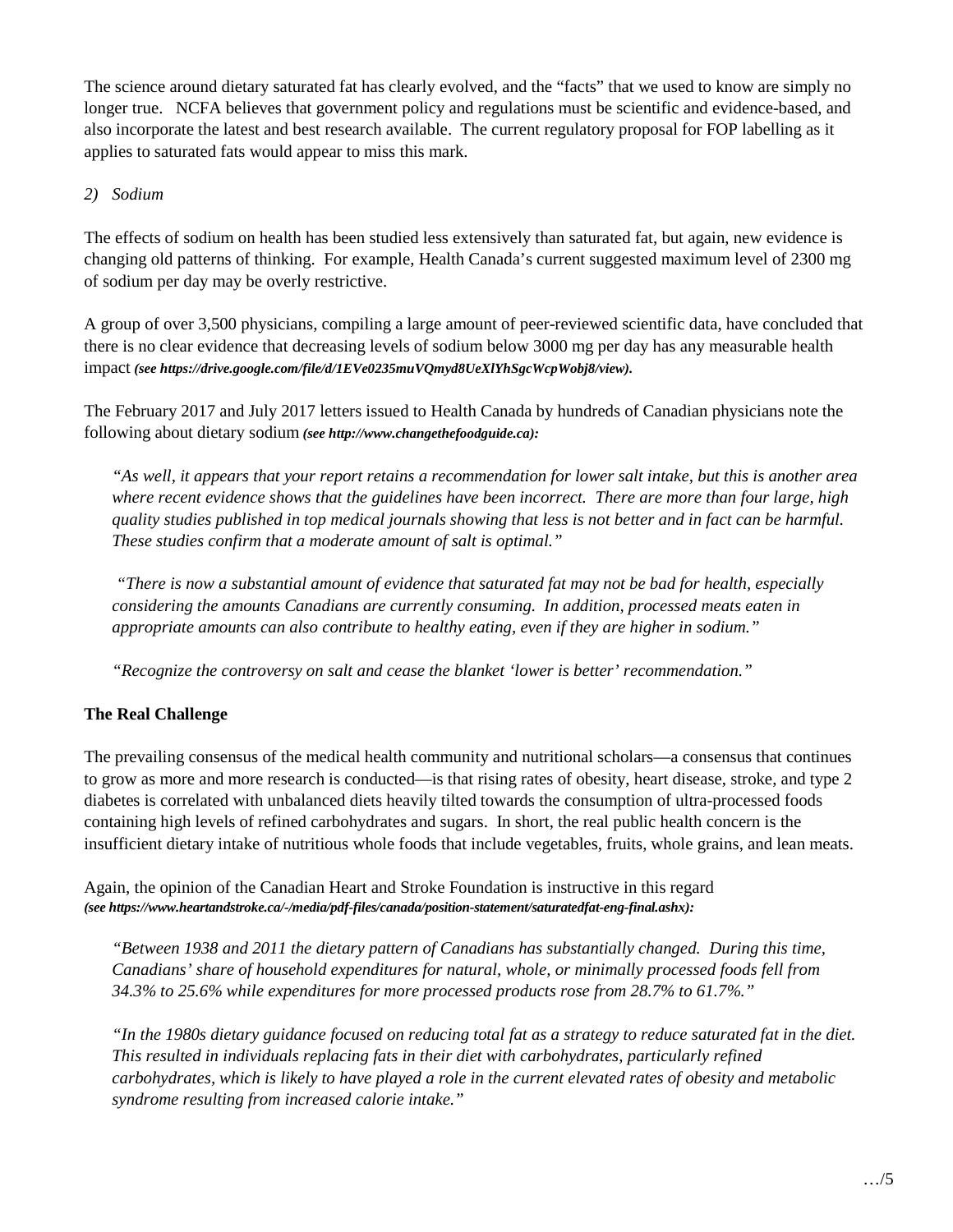The science around dietary saturated fat has clearly evolved, and the "facts" that we used to know are simply no longer true. NCFA believes that government policy and regulations must be scientific and evidence-based, and also incorporate the latest and best research available. The current regulatory proposal for FOP labelling as it applies to saturated fats would appear to miss this mark.

# *2) Sodium*

The effects of sodium on health has been studied less extensively than saturated fat, but again, new evidence is changing old patterns of thinking. For example, Health Canada's current suggested maximum level of 2300 mg of sodium per day may be overly restrictive.

A group of over 3,500 physicians, compiling a large amount of peer-reviewed scientific data, have concluded that there is no clear evidence that decreasing levels of sodium below 3000 mg per day has any measurable health impact *(see https://drive.google.com/file/d/1EVe0235muVQmyd8UeXlYhSgcWcpWobj8/view).* 

The February 2017 and July 2017 letters issued to Health Canada by hundreds of Canadian physicians note the following about dietary sodium *(see [http://www.changethefoodguide.ca\)](http://www.changethefoodguide.ca/):*

*"As well, it appears that your report retains a recommendation for lower salt intake, but this is another area where recent evidence shows that the guidelines have been incorrect. There are more than four large, high quality studies published in top medical journals showing that less is not better and in fact can be harmful. These studies confirm that a moderate amount of salt is optimal."*

*"There is now a substantial amount of evidence that saturated fat may not be bad for health, especially considering the amounts Canadians are currently consuming. In addition, processed meats eaten in appropriate amounts can also contribute to healthy eating, even if they are higher in sodium."* 

*"Recognize the controversy on salt and cease the blanket 'lower is better' recommendation."*

# **The Real Challenge**

The prevailing consensus of the medical health community and nutritional scholars—a consensus that continues to grow as more and more research is conducted—is that rising rates of obesity, heart disease, stroke, and type 2 diabetes is correlated with unbalanced diets heavily tilted towards the consumption of ultra-processed foods containing high levels of refined carbohydrates and sugars. In short, the real public health concern is the insufficient dietary intake of nutritious whole foods that include vegetables, fruits, whole grains, and lean meats.

Again, the opinion of the Canadian Heart and Stroke Foundation is instructive in this regard *(see https://www.heartandstroke.ca/-/media/pdf-files/canada/position-statement/saturatedfat-eng-final.ashx):* 

*"Between 1938 and 2011 the dietary pattern of Canadians has substantially changed. During this time, Canadians' share of household expenditures for natural, whole, or minimally processed foods fell from 34.3% to 25.6% while expenditures for more processed products rose from 28.7% to 61.7%."*

*"In the 1980s dietary guidance focused on reducing total fat as a strategy to reduce saturated fat in the diet. This resulted in individuals replacing fats in their diet with carbohydrates, particularly refined carbohydrates, which is likely to have played a role in the current elevated rates of obesity and metabolic syndrome resulting from increased calorie intake."*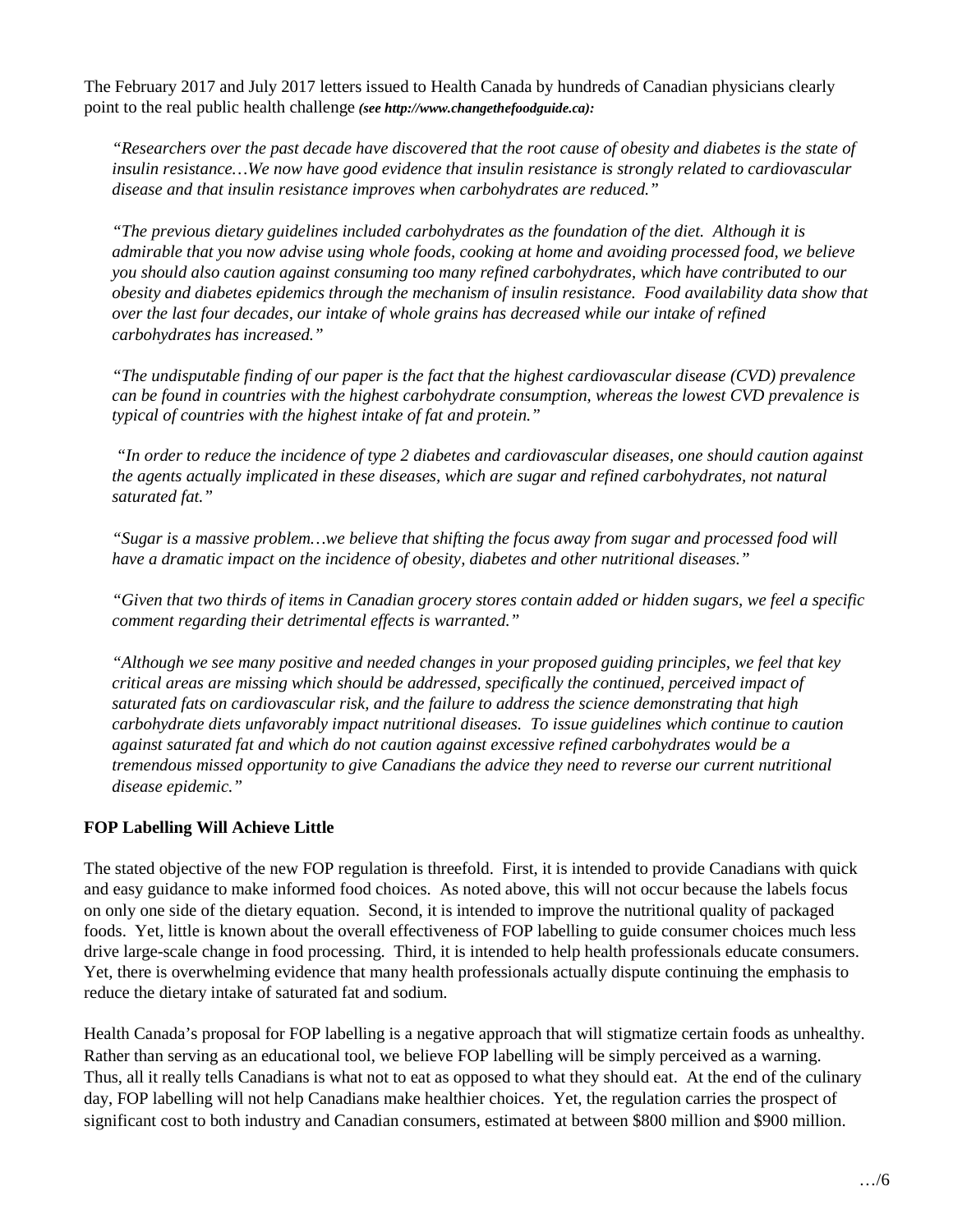The February 2017 and July 2017 letters issued to Health Canada by hundreds of Canadian physicians clearly point to the real public health challenge *(see [http://www.changethefoodguide.ca\)](http://www.changethefoodguide.ca/):*

*"Researchers over the past decade have discovered that the root cause of obesity and diabetes is the state of insulin resistance…We now have good evidence that insulin resistance is strongly related to cardiovascular disease and that insulin resistance improves when carbohydrates are reduced."*

*"The previous dietary guidelines included carbohydrates as the foundation of the diet. Although it is admirable that you now advise using whole foods, cooking at home and avoiding processed food, we believe you should also caution against consuming too many refined carbohydrates, which have contributed to our obesity and diabetes epidemics through the mechanism of insulin resistance. Food availability data show that over the last four decades, our intake of whole grains has decreased while our intake of refined carbohydrates has increased."*

*"The undisputable finding of our paper is the fact that the highest cardiovascular disease (CVD) prevalence can be found in countries with the highest carbohydrate consumption, whereas the lowest CVD prevalence is typical of countries with the highest intake of fat and protein."*

*"In order to reduce the incidence of type 2 diabetes and cardiovascular diseases, one should caution against the agents actually implicated in these diseases, which are sugar and refined carbohydrates, not natural saturated fat."*

*"Sugar is a massive problem…we believe that shifting the focus away from sugar and processed food will have a dramatic impact on the incidence of obesity, diabetes and other nutritional diseases."*

*"Given that two thirds of items in Canadian grocery stores contain added or hidden sugars, we feel a specific comment regarding their detrimental effects is warranted."* 

*"Although we see many positive and needed changes in your proposed guiding principles, we feel that key critical areas are missing which should be addressed, specifically the continued, perceived impact of saturated fats on cardiovascular risk, and the failure to address the science demonstrating that high carbohydrate diets unfavorably impact nutritional diseases. To issue guidelines which continue to caution against saturated fat and which do not caution against excessive refined carbohydrates would be a tremendous missed opportunity to give Canadians the advice they need to reverse our current nutritional disease epidemic."*

# **FOP Labelling Will Achieve Little**

The stated objective of the new FOP regulation is threefold. First, it is intended to provide Canadians with quick and easy guidance to make informed food choices. As noted above, this will not occur because the labels focus on only one side of the dietary equation. Second, it is intended to improve the nutritional quality of packaged foods. Yet, little is known about the overall effectiveness of FOP labelling to guide consumer choices much less drive large-scale change in food processing. Third, it is intended to help health professionals educate consumers. Yet, there is overwhelming evidence that many health professionals actually dispute continuing the emphasis to reduce the dietary intake of saturated fat and sodium.

Health Canada's proposal for FOP labelling is a negative approach that will stigmatize certain foods as unhealthy. Rather than serving as an educational tool, we believe FOP labelling will be simply perceived as a warning. Thus, all it really tells Canadians is what not to eat as opposed to what they should eat. At the end of the culinary day, FOP labelling will not help Canadians make healthier choices. Yet, the regulation carries the prospect of significant cost to both industry and Canadian consumers, estimated at between \$800 million and \$900 million.